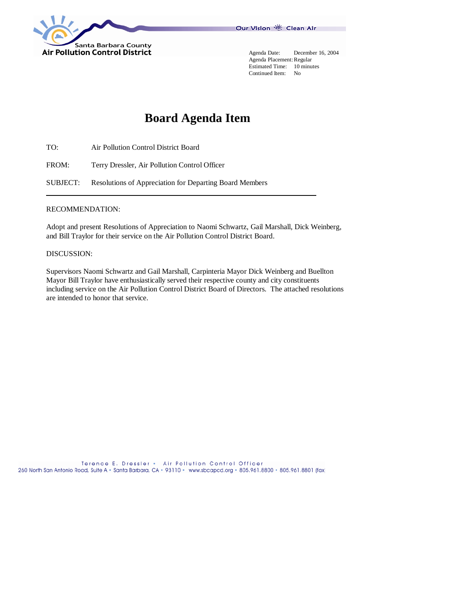



 Agenda Placement: Regular Estimated Time: 10 minutes Continued Item: No

# **Board Agenda Item**

TO: Air Pollution Control District Board

FROM: Terry Dressler, Air Pollution Control Officer

SUBJECT: Resolutions of Appreciation for Departing Board Members

#### RECOMMENDATION:

Adopt and present Resolutions of Appreciation to Naomi Schwartz, Gail Marshall, Dick Weinberg, and Bill Traylor for their service on the Air Pollution Control District Board.

#### DISCUSSION:

Supervisors Naomi Schwartz and Gail Marshall, Carpinteria Mayor Dick Weinberg and Buellton Mayor Bill Traylor have enthusiastically served their respective county and city constituents including service on the Air Pollution Control District Board of Directors. The attached resolutions are intended to honor that service.

Terence E. Dressler . Air Pollution Control Officer 260 North San Antonio Road, Suite A · Santa Barbara, CA · 93110 · www.sbcapcd.org · 805.961.8800 · 805.961.8801 (fax)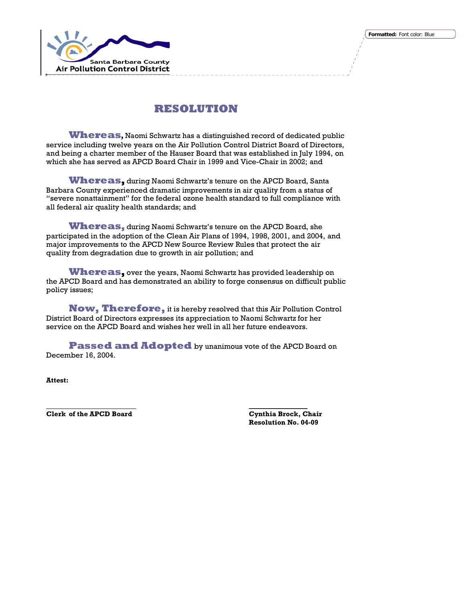

**Whereas,** Naomi Schwartz has a distinguished record of dedicated public service including twelve years on the Air Pollution Control District Board of Directors, and being a charter member of the Hauser Board that was established in July 1994, on which she has served as APCD Board Chair in 1999 and Vice-Chair in 2002; and

**Whereas,** during Naomi Schwartz's tenure on the APCD Board, Santa Barbara County experienced dramatic improvements in air quality from a status of "severe nonattainment" for the federal ozone health standard to full compliance with all federal air quality health standards; and

**Whereas,** during Naomi Schwartz's tenure on the APCD Board, she participated in the adoption of the Clean Air Plans of 1994, 1998, 2001, and 2004, and major improvements to the APCD New Source Review Rules that protect the air quality from degradation due to growth in air pollution; and

**Whereas,** over the years, Naomi Schwartz has provided leadership on the APCD Board and has demonstrated an ability to forge consensus on difficult public policy issues;

**Now, Therefore,** it is hereby resolved that this Air Pollution Control District Board of Directors expresses its appreciation to Naomi Schwartz for her service on the APCD Board and wishes her well in all her future endeavors.

**Passed and Adopted** by unanimous vote of the APCD Board on December 16, 2004.

**Attest:** 

**Clerk of the APCD Board Cynthia Brock, Chair** 

 **\_\_\_\_\_\_\_\_\_\_\_\_\_\_\_\_\_ Resolution No. 04-09**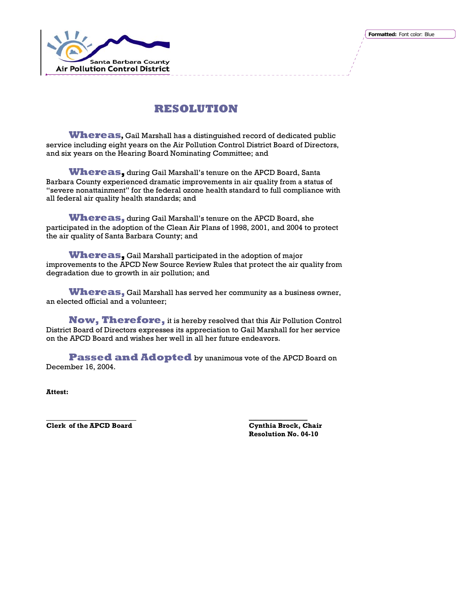

**Whereas,** Gail Marshall has a distinguished record of dedicated public service including eight years on the Air Pollution Control District Board of Directors, and six years on the Hearing Board Nominating Committee; and

**Whereas,** during Gail Marshall's tenure on the APCD Board, Santa Barbara County experienced dramatic improvements in air quality from a status of "severe nonattainment" for the federal ozone health standard to full compliance with all federal air quality health standards; and

**Whereas,** during Gail Marshall's tenure on the APCD Board, she participated in the adoption of the Clean Air Plans of 1998, 2001, and 2004 to protect the air quality of Santa Barbara County; and

**Whereas,** Gail Marshall participated in the adoption of major improvements to the APCD New Source Review Rules that protect the air quality from degradation due to growth in air pollution; and

**Whereas,** Gail Marshall has served her community as a business owner, an elected official and a volunteer;

**Now, Therefore,** it is hereby resolved that this Air Pollution Control District Board of Directors expresses its appreciation to Gail Marshall for her service on the APCD Board and wishes her well in all her future endeavors.

**Passed and Adopted** by unanimous vote of the APCD Board on December 16, 2004.

 **\_\_\_\_\_\_\_\_\_\_\_\_\_\_\_\_\_**

**Attest:** 

**Clerk of the APCD Board Cynthia Brock, Chair** 

**Resolution No. 04-10**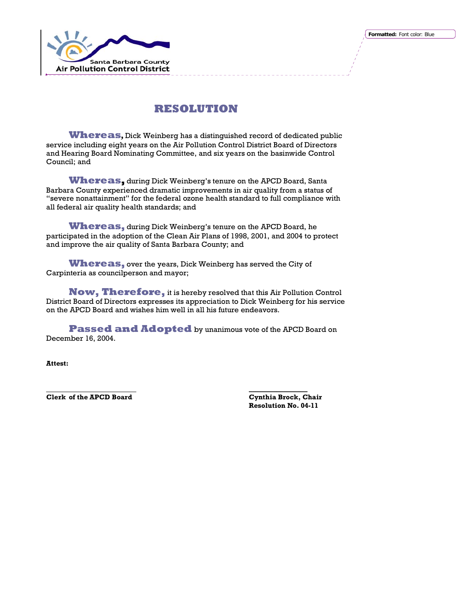

**Whereas,** Dick Weinberg has a distinguished record of dedicated public service including eight years on the Air Pollution Control District Board of Directors and Hearing Board Nominating Committee, and six years on the basinwide Control Council; and

**Whereas,** during Dick Weinberg's tenure on the APCD Board, Santa Barbara County experienced dramatic improvements in air quality from a status of "severe nonattainment" for the federal ozone health standard to full compliance with all federal air quality health standards; and

**Whereas,** during Dick Weinberg's tenure on the APCD Board, he participated in the adoption of the Clean Air Plans of 1998, 2001, and 2004 to protect and improve the air quality of Santa Barbara County; and

**Whereas,** over the years, Dick Weinberg has served the City of Carpinteria as councilperson and mayor;

**Now, Therefore,** it is hereby resolved that this Air Pollution Control District Board of Directors expresses its appreciation to Dick Weinberg for his service on the APCD Board and wishes him well in all his future endeavors.

**Passed and Adopted** by unanimous vote of the APCD Board on December 16, 2004.

 **\_\_\_\_\_\_\_\_\_\_\_\_\_\_\_\_\_**

**Attest:** 

**Clerk of the APCD Board Cynthia Brock, Chair** 

**Resolution No. 04-11**